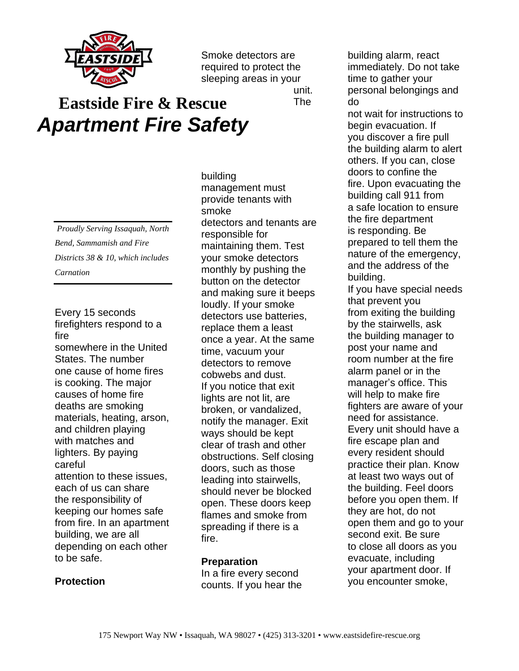

Smoke detectors are required to protect the sleeping areas in your

unit. The

## **Eastside Fire & Rescue** *Apartment Fire Safety*

*Proudly Serving Issaquah, North Bend, Sammamish and Fire Districts 38 & 10, which includes Carnation*

Every 15 seconds firefighters respond to a fire somewhere in the United States. The number one cause of home fires is cooking. The major causes of home fire deaths are smoking materials, heating, arson, and children playing with matches and lighters. By paying careful attention to these issues, each of us can share the responsibility of keeping our homes safe from fire. In an apartment building, we are all depending on each other to be safe.

building management must provide tenants with smoke detectors and tenants are responsible for maintaining them. Test your smoke detectors monthly by pushing the button on the detector and making sure it beeps loudly. If your smoke detectors use batteries, replace them a least once a year. At the same time, vacuum your detectors to remove cobwebs and dust. If you notice that exit lights are not lit, are broken, or vandalized, notify the manager. Exit ways should be kept clear of trash and other obstructions. Self closing doors, such as those leading into stairwells, should never be blocked open. These doors keep flames and smoke from spreading if there is a fire.

## **Preparation**

In a fire every second counts. If you hear the building alarm, react immediately. Do not take time to gather your personal belongings and do

not wait for instructions to begin evacuation. If you discover a fire pull the building alarm to alert others. If you can, close doors to confine the fire. Upon evacuating the building call 911 from a safe location to ensure the fire department is responding. Be prepared to tell them the nature of the emergency, and the address of the building. If you have special needs that prevent you from exiting the building by the stairwells, ask the building manager to post your name and room number at the fire alarm panel or in the manager's office. This will help to make fire fighters are aware of your need for assistance. Every unit should have a fire escape plan and every resident should practice their plan. Know at least two ways out of the building. Feel doors before you open them. If they are hot, do not open them and go to your second exit. Be sure

to close all doors as you evacuate, including your apartment door. If you encounter smoke,

## **Protection**